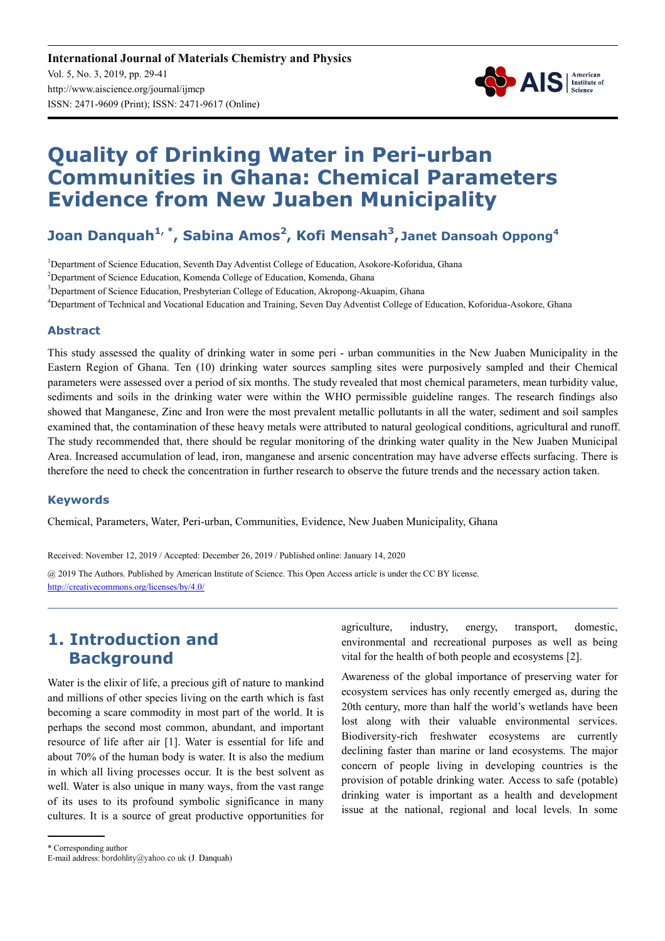

# **Quality of Drinking Water in Peri-urban Communities in Ghana: Chemical Parameters Evidence from New Juaben Municipality**

### **Joan Danquah1, \*, Sabina Amos<sup>2</sup> , Kofi Mensah<sup>3</sup> , Janet Dansoah Oppong<sup>4</sup>**

<sup>1</sup>Department of Science Education, Seventh Day Adventist College of Education, Asokore-Koforidua, Ghana

<sup>2</sup>Department of Science Education, Komenda College of Education, Komenda, Ghana

<sup>3</sup>Department of Science Education, Presbyterian College of Education, Akropong-Akuapim, Ghana

<sup>4</sup>Department of Technical and Vocational Education and Training, Seven Day Adventist College of Education, Koforidua-Asokore, Ghana

#### **Abstract**

This study assessed the quality of drinking water in some peri - urban communities in the New Juaben Municipality in the Eastern Region of Ghana. Ten (10) drinking water sources sampling sites were purposively sampled and their Chemical parameters were assessed over a period of six months. The study revealed that most chemical parameters, mean turbidity value, sediments and soils in the drinking water were within the WHO permissible guideline ranges. The research findings also showed that Manganese, Zinc and Iron were the most prevalent metallic pollutants in all the water, sediment and soil samples examined that, the contamination of these heavy metals were attributed to natural geological conditions, agricultural and runoff. The study recommended that, there should be regular monitoring of the drinking water quality in the New Juaben Municipal Area. Increased accumulation of lead, iron, manganese and arsenic concentration may have adverse effects surfacing. There is therefore the need to check the concentration in further research to observe the future trends and the necessary action taken.

#### **Keywords**

Chemical, Parameters, Water, Peri-urban, Communities, Evidence, New Juaben Municipality, Ghana

Received: November 12, 2019 / Accepted: December 26, 2019 / Published online: January 14, 2020

@ 2019 The Authors. Published by American Institute of Science. This Open Access article is under the CC BY license. http://creativecommons.org/licenses/by/4.0/

### **1. Introduction and Background**

Water is the elixir of life, a precious gift of nature to mankind and millions of other species living on the earth which is fast becoming a scare commodity in most part of the world. It is perhaps the second most common, abundant, and important resource of life after air [1]. Water is essential for life and about 70% of the human body is water. It is also the medium in which all living processes occur. It is the best solvent as well. Water is also unique in many ways, from the vast range of its uses to its profound symbolic significance in many cultures. It is a source of great productive opportunities for agriculture, industry, energy, transport, domestic, environmental and recreational purposes as well as being vital for the health of both people and ecosystems [2].

Awareness of the global importance of preserving water for ecosystem services has only recently emerged as, during the 20th century, more than half the world's wetlands have been lost along with their valuable environmental services. Biodiversity-rich freshwater ecosystems are currently declining faster than marine or land ecosystems. The major concern of people living in developing countries is the provision of potable drinking water. Access to safe (potable) drinking water is important as a health and development issue at the national, regional and local levels. In some

<sup>\*</sup> Corresponding author

E-mail address: bordohlity@yahoo.co.uk (J. Danquah)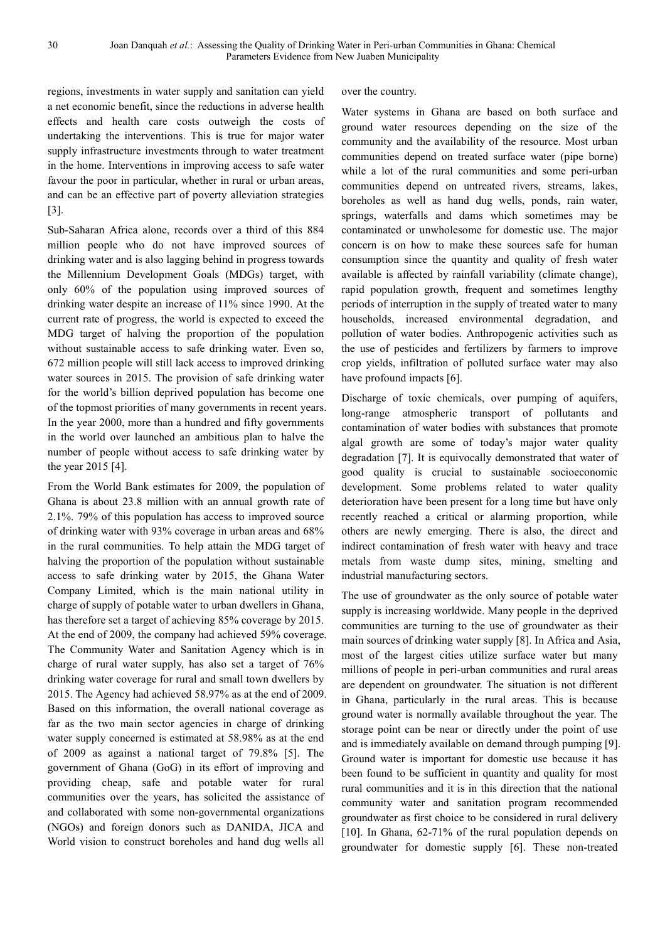regions, investments in water supply and sanitation can yield a net economic benefit, since the reductions in adverse health effects and health care costs outweigh the costs of undertaking the interventions. This is true for major water supply infrastructure investments through to water treatment in the home. Interventions in improving access to safe water favour the poor in particular, whether in rural or urban areas, and can be an effective part of poverty alleviation strategies [3].

Sub-Saharan Africa alone, records over a third of this 884 million people who do not have improved sources of drinking water and is also lagging behind in progress towards the Millennium Development Goals (MDGs) target, with only 60% of the population using improved sources of drinking water despite an increase of 11% since 1990. At the current rate of progress, the world is expected to exceed the MDG target of halving the proportion of the population without sustainable access to safe drinking water. Even so, 672 million people will still lack access to improved drinking water sources in 2015. The provision of safe drinking water for the world's billion deprived population has become one of the topmost priorities of many governments in recent years. In the year 2000, more than a hundred and fifty governments in the world over launched an ambitious plan to halve the number of people without access to safe drinking water by the year 2015 [4].

From the World Bank estimates for 2009, the population of Ghana is about 23.8 million with an annual growth rate of 2.1%. 79% of this population has access to improved source of drinking water with 93% coverage in urban areas and 68% in the rural communities. To help attain the MDG target of halving the proportion of the population without sustainable access to safe drinking water by 2015, the Ghana Water Company Limited, which is the main national utility in charge of supply of potable water to urban dwellers in Ghana, has therefore set a target of achieving 85% coverage by 2015. At the end of 2009, the company had achieved 59% coverage. The Community Water and Sanitation Agency which is in charge of rural water supply, has also set a target of 76% drinking water coverage for rural and small town dwellers by 2015. The Agency had achieved 58.97% as at the end of 2009. Based on this information, the overall national coverage as far as the two main sector agencies in charge of drinking water supply concerned is estimated at 58.98% as at the end of 2009 as against a national target of 79.8% [5]. The government of Ghana (GoG) in its effort of improving and providing cheap, safe and potable water for rural communities over the years, has solicited the assistance of and collaborated with some non-governmental organizations (NGOs) and foreign donors such as DANIDA, JICA and World vision to construct boreholes and hand dug wells all

over the country.

Water systems in Ghana are based on both surface and ground water resources depending on the size of the community and the availability of the resource. Most urban communities depend on treated surface water (pipe borne) while a lot of the rural communities and some peri-urban communities depend on untreated rivers, streams, lakes, boreholes as well as hand dug wells, ponds, rain water, springs, waterfalls and dams which sometimes may be contaminated or unwholesome for domestic use. The major concern is on how to make these sources safe for human consumption since the quantity and quality of fresh water available is affected by rainfall variability (climate change), rapid population growth, frequent and sometimes lengthy periods of interruption in the supply of treated water to many households, increased environmental degradation, and pollution of water bodies. Anthropogenic activities such as the use of pesticides and fertilizers by farmers to improve crop yields, infiltration of polluted surface water may also have profound impacts [6].

Discharge of toxic chemicals, over pumping of aquifers, long-range atmospheric transport of pollutants and contamination of water bodies with substances that promote algal growth are some of today's major water quality degradation [7]. It is equivocally demonstrated that water of good quality is crucial to sustainable socioeconomic development. Some problems related to water quality deterioration have been present for a long time but have only recently reached a critical or alarming proportion, while others are newly emerging. There is also, the direct and indirect contamination of fresh water with heavy and trace metals from waste dump sites, mining, smelting and industrial manufacturing sectors.

The use of groundwater as the only source of potable water supply is increasing worldwide. Many people in the deprived communities are turning to the use of groundwater as their main sources of drinking water supply [8]. In Africa and Asia, most of the largest cities utilize surface water but many millions of people in peri-urban communities and rural areas are dependent on groundwater. The situation is not different in Ghana, particularly in the rural areas. This is because ground water is normally available throughout the year. The storage point can be near or directly under the point of use and is immediately available on demand through pumping [9]. Ground water is important for domestic use because it has been found to be sufficient in quantity and quality for most rural communities and it is in this direction that the national community water and sanitation program recommended groundwater as first choice to be considered in rural delivery [10]. In Ghana, 62-71% of the rural population depends on groundwater for domestic supply [6]. These non-treated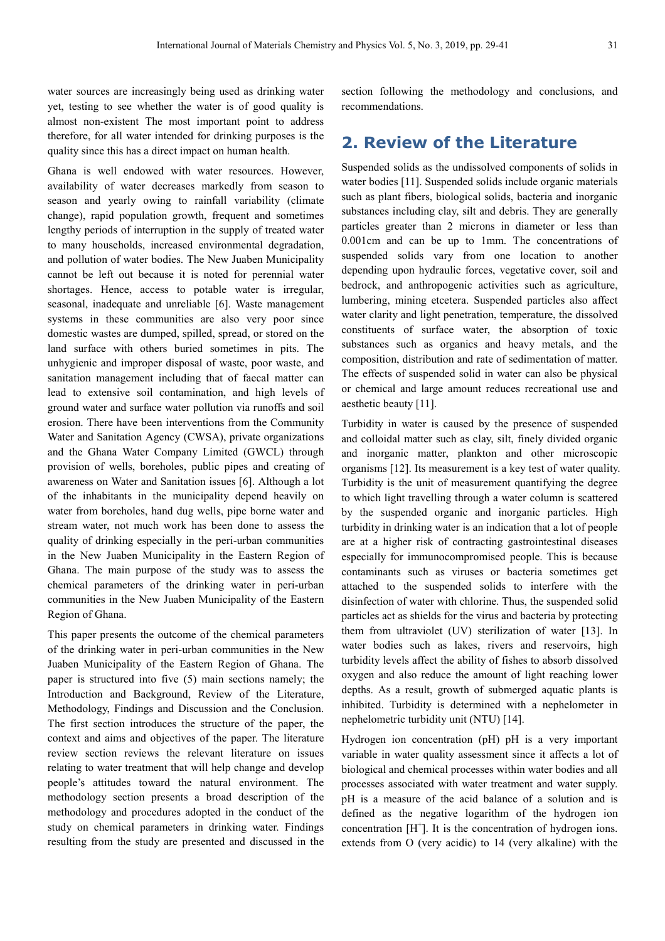water sources are increasingly being used as drinking water yet, testing to see whether the water is of good quality is almost non-existent The most important point to address therefore, for all water intended for drinking purposes is the quality since this has a direct impact on human health.

Ghana is well endowed with water resources. However, availability of water decreases markedly from season to season and yearly owing to rainfall variability (climate change), rapid population growth, frequent and sometimes lengthy periods of interruption in the supply of treated water to many households, increased environmental degradation, and pollution of water bodies. The New Juaben Municipality cannot be left out because it is noted for perennial water shortages. Hence, access to potable water is irregular, seasonal, inadequate and unreliable [6]. Waste management systems in these communities are also very poor since domestic wastes are dumped, spilled, spread, or stored on the land surface with others buried sometimes in pits. The unhygienic and improper disposal of waste, poor waste, and sanitation management including that of faecal matter can lead to extensive soil contamination, and high levels of ground water and surface water pollution via runoffs and soil erosion. There have been interventions from the Community Water and Sanitation Agency (CWSA), private organizations and the Ghana Water Company Limited (GWCL) through provision of wells, boreholes, public pipes and creating of awareness on Water and Sanitation issues [6]. Although a lot of the inhabitants in the municipality depend heavily on water from boreholes, hand dug wells, pipe borne water and stream water, not much work has been done to assess the quality of drinking especially in the peri-urban communities in the New Juaben Municipality in the Eastern Region of Ghana. The main purpose of the study was to assess the chemical parameters of the drinking water in peri-urban communities in the New Juaben Municipality of the Eastern Region of Ghana.

This paper presents the outcome of the chemical parameters of the drinking water in peri-urban communities in the New Juaben Municipality of the Eastern Region of Ghana. The paper is structured into five (5) main sections namely; the Introduction and Background, Review of the Literature, Methodology, Findings and Discussion and the Conclusion. The first section introduces the structure of the paper, the context and aims and objectives of the paper. The literature review section reviews the relevant literature on issues relating to water treatment that will help change and develop people's attitudes toward the natural environment. The methodology section presents a broad description of the methodology and procedures adopted in the conduct of the study on chemical parameters in drinking water. Findings resulting from the study are presented and discussed in the section following the methodology and conclusions, and recommendations.

### **2. Review of the Literature**

Suspended solids as the undissolved components of solids in water bodies [11]. Suspended solids include organic materials such as plant fibers, biological solids, bacteria and inorganic substances including clay, silt and debris. They are generally particles greater than 2 microns in diameter or less than 0.001cm and can be up to 1mm. The concentrations of suspended solids vary from one location to another depending upon hydraulic forces, vegetative cover, soil and bedrock, and anthropogenic activities such as agriculture, lumbering, mining etcetera. Suspended particles also affect water clarity and light penetration, temperature, the dissolved constituents of surface water, the absorption of toxic substances such as organics and heavy metals, and the composition, distribution and rate of sedimentation of matter. The effects of suspended solid in water can also be physical or chemical and large amount reduces recreational use and aesthetic beauty [11].

Turbidity in water is caused by the presence of suspended and colloidal matter such as clay, silt, finely divided organic and inorganic matter, plankton and other microscopic organisms [12]. Its measurement is a key test of water quality. Turbidity is the unit of measurement quantifying the degree to which light travelling through a water column is scattered by the suspended organic and inorganic particles. High turbidity in drinking water is an indication that a lot of people are at a higher risk of contracting gastrointestinal diseases especially for immunocompromised people. This is because contaminants such as viruses or bacteria sometimes get attached to the suspended solids to interfere with the disinfection of water with chlorine. Thus, the suspended solid particles act as shields for the virus and bacteria by protecting them from ultraviolet (UV) sterilization of water [13]. In water bodies such as lakes, rivers and reservoirs, high turbidity levels affect the ability of fishes to absorb dissolved oxygen and also reduce the amount of light reaching lower depths. As a result, growth of submerged aquatic plants is inhibited. Turbidity is determined with a nephelometer in nephelometric turbidity unit (NTU) [14].

Hydrogen ion concentration (pH) pH is a very important variable in water quality assessment since it affects a lot of biological and chemical processes within water bodies and all processes associated with water treatment and water supply. pH is a measure of the acid balance of a solution and is defined as the negative logarithm of the hydrogen ion concentration  $[H^+]$ . It is the concentration of hydrogen ions. extends from O (very acidic) to 14 (very alkaline) with the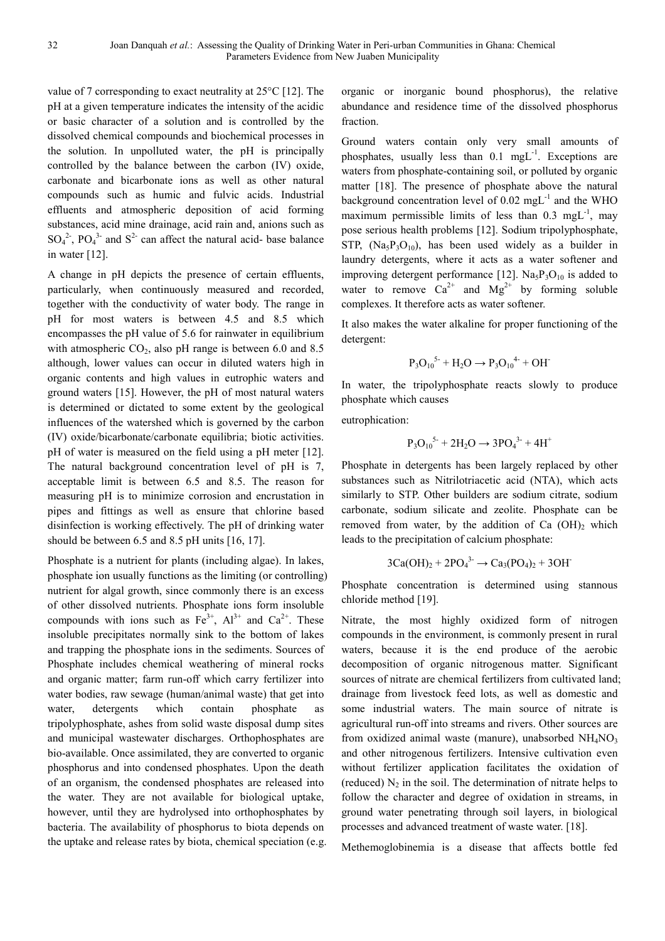value of 7 corresponding to exact neutrality at 25°C [12]. The pH at a given temperature indicates the intensity of the acidic or basic character of a solution and is controlled by the dissolved chemical compounds and biochemical processes in the solution. In unpolluted water, the pH is principally controlled by the balance between the carbon (IV) oxide, carbonate and bicarbonate ions as well as other natural compounds such as humic and fulvic acids. Industrial effluents and atmospheric deposition of acid forming substances, acid mine drainage, acid rain and, anions such as  $SO_4^2$ <sup>2</sup>,  $PO_4^3$ <sup>3</sup> and  $S^2$  can affect the natural acid- base balance in water [12].

A change in pH depicts the presence of certain effluents, particularly, when continuously measured and recorded, together with the conductivity of water body. The range in pH for most waters is between 4.5 and 8.5 which encompasses the pH value of 5.6 for rainwater in equilibrium with atmospheric  $CO<sub>2</sub>$ , also pH range is between 6.0 and 8.5 although, lower values can occur in diluted waters high in organic contents and high values in eutrophic waters and ground waters [15]. However, the pH of most natural waters is determined or dictated to some extent by the geological influences of the watershed which is governed by the carbon (IV) oxide/bicarbonate/carbonate equilibria; biotic activities. pH of water is measured on the field using a pH meter [12]. The natural background concentration level of pH is 7, acceptable limit is between 6.5 and 8.5. The reason for measuring pH is to minimize corrosion and encrustation in pipes and fittings as well as ensure that chlorine based disinfection is working effectively. The pH of drinking water should be between 6.5 and 8.5 pH units [16, 17].

Phosphate is a nutrient for plants (including algae). In lakes, phosphate ion usually functions as the limiting (or controlling) nutrient for algal growth, since commonly there is an excess of other dissolved nutrients. Phosphate ions form insoluble compounds with ions such as  $Fe^{3+}$ ,  $Al^{3+}$  and  $Ca^{2+}$ . These insoluble precipitates normally sink to the bottom of lakes and trapping the phosphate ions in the sediments. Sources of Phosphate includes chemical weathering of mineral rocks and organic matter; farm run-off which carry fertilizer into water bodies, raw sewage (human/animal waste) that get into water, detergents which contain phosphate as tripolyphosphate, ashes from solid waste disposal dump sites and municipal wastewater discharges. Orthophosphates are bio-available. Once assimilated, they are converted to organic phosphorus and into condensed phosphates. Upon the death of an organism, the condensed phosphates are released into the water. They are not available for biological uptake, however, until they are hydrolysed into orthophosphates by bacteria. The availability of phosphorus to biota depends on the uptake and release rates by biota, chemical speciation (e.g. organic or inorganic bound phosphorus), the relative abundance and residence time of the dissolved phosphorus fraction.

Ground waters contain only very small amounts of phosphates, usually less than  $0.1 \text{ mgL}^{-1}$ . Exceptions are waters from phosphate-containing soil, or polluted by organic matter [18]. The presence of phosphate above the natural background concentration level of  $0.02 \text{ mgL}^{-1}$  and the WHO maximum permissible limits of less than  $0.3 \text{ mgL}^{-1}$ , may pose serious health problems [12]. Sodium tripolyphosphate, STP,  $(Na_5P_3O_{10})$ , has been used widely as a builder in laundry detergents, where it acts as a water softener and improving detergent performance [12].  $Na<sub>5</sub>P<sub>3</sub>O<sub>10</sub>$  is added to water to remove  $Ca^{2+}$  and  $Mg^{2+}$  by forming soluble complexes. It therefore acts as water softener.

It also makes the water alkaline for proper functioning of the detergent:

$$
P_3O_{10}^{5-} + H_2O \rightarrow P_3O_{10}^{4-} + OH^-
$$

In water, the tripolyphosphate reacts slowly to produce phosphate which causes

eutrophication:

$$
P_3O_{10}^{5-} + 2H_2O \rightarrow 3PO_4^{3-} + 4H^+
$$

Phosphate in detergents has been largely replaced by other substances such as Nitrilotriacetic acid (NTA), which acts similarly to STP. Other builders are sodium citrate, sodium carbonate, sodium silicate and zeolite. Phosphate can be removed from water, by the addition of Ca  $(OH)$ <sub>2</sub> which leads to the precipitation of calcium phosphate:

$$
3Ca(OH)2 + 2PO43- \to Ca3(PO4)2 + 3OH-
$$

Phosphate concentration is determined using stannous chloride method [19].

Nitrate, the most highly oxidized form of nitrogen compounds in the environment, is commonly present in rural waters, because it is the end produce of the aerobic decomposition of organic nitrogenous matter. Significant sources of nitrate are chemical fertilizers from cultivated land; drainage from livestock feed lots, as well as domestic and some industrial waters. The main source of nitrate is agricultural run-off into streams and rivers. Other sources are from oxidized animal waste (manure), unabsorbed  $NH<sub>4</sub>NO<sub>3</sub>$ and other nitrogenous fertilizers. Intensive cultivation even without fertilizer application facilitates the oxidation of (reduced)  $N_2$  in the soil. The determination of nitrate helps to follow the character and degree of oxidation in streams, in ground water penetrating through soil layers, in biological processes and advanced treatment of waste water. [18].

Methemoglobinemia is a disease that affects bottle fed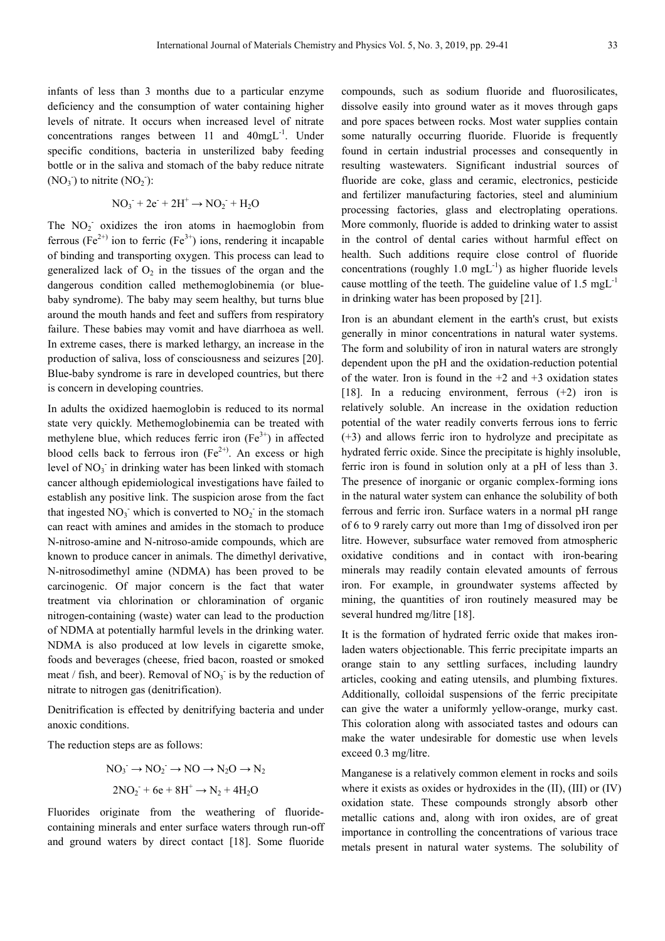infants of less than 3 months due to a particular enzyme deficiency and the consumption of water containing higher levels of nitrate. It occurs when increased level of nitrate concentrations ranges between  $11$  and  $40$ mgL<sup>-1</sup>. Under specific conditions, bacteria in unsterilized baby feeding bottle or in the saliva and stomach of the baby reduce nitrate  $(NO<sub>3</sub><sup>-</sup>)$  to nitrite  $(NO<sub>2</sub><sup>-</sup>)$ :

$$
NO_3^- + 2e^- + 2H^+ \rightarrow NO_2^- + H_2O
$$

The NO<sub>2</sub> oxidizes the iron atoms in haemoglobin from ferrous (Fe<sup>2+)</sup> ion to ferric (Fe<sup>3+</sup>) ions, rendering it incapable of binding and transporting oxygen. This process can lead to generalized lack of  $O_2$  in the tissues of the organ and the dangerous condition called methemoglobinemia (or bluebaby syndrome). The baby may seem healthy, but turns blue around the mouth hands and feet and suffers from respiratory failure. These babies may vomit and have diarrhoea as well. In extreme cases, there is marked lethargy, an increase in the production of saliva, loss of consciousness and seizures [20]. Blue-baby syndrome is rare in developed countries, but there is concern in developing countries.

In adults the oxidized haemoglobin is reduced to its normal state very quickly. Methemoglobinemia can be treated with methylene blue, which reduces ferric iron  $(Fe<sup>3+</sup>)$  in affected blood cells back to ferrous iron  $(Fe^{2+})$ . An excess or high level of  $NO<sub>3</sub>$  in drinking water has been linked with stomach cancer although epidemiological investigations have failed to establish any positive link. The suspicion arose from the fact that ingested  $NO_3$ <sup>-</sup> which is converted to  $NO_2$ <sup>-</sup> in the stomach can react with amines and amides in the stomach to produce N-nitroso-amine and N-nitroso-amide compounds, which are known to produce cancer in animals. The dimethyl derivative, N-nitrosodimethyl amine (NDMA) has been proved to be carcinogenic. Of major concern is the fact that water treatment via chlorination or chloramination of organic nitrogen-containing (waste) water can lead to the production of NDMA at potentially harmful levels in the drinking water. NDMA is also produced at low levels in cigarette smoke, foods and beverages (cheese, fried bacon, roasted or smoked meat / fish, and beer). Removal of  $NO<sub>3</sub>$  is by the reduction of nitrate to nitrogen gas (denitrification).

Denitrification is effected by denitrifying bacteria and under anoxic conditions.

The reduction steps are as follows:

$$
NO_3^- \rightarrow NO_2^- \rightarrow NO \rightarrow N_2O \rightarrow N_2
$$
  

$$
2NO_2^- + 6e + 8H^+ \rightarrow N_2 + 4H_2O
$$

Fluorides originate from the weathering of fluoridecontaining minerals and enter surface waters through run-off and ground waters by direct contact [18]. Some fluoride compounds, such as sodium fluoride and fluorosilicates, dissolve easily into ground water as it moves through gaps and pore spaces between rocks. Most water supplies contain some naturally occurring fluoride. Fluoride is frequently found in certain industrial processes and consequently in resulting wastewaters. Significant industrial sources of fluoride are coke, glass and ceramic, electronics, pesticide and fertilizer manufacturing factories, steel and aluminium processing factories, glass and electroplating operations. More commonly, fluoride is added to drinking water to assist in the control of dental caries without harmful effect on health. Such additions require close control of fluoride concentrations (roughly 1.0 mgL $^{-1}$ ) as higher fluoride levels cause mottling of the teeth. The guideline value of  $1.5 \text{ mgL}^{-1}$ in drinking water has been proposed by [21].

Iron is an abundant element in the earth's crust, but exists generally in minor concentrations in natural water systems. The form and solubility of iron in natural waters are strongly dependent upon the pH and the oxidation-reduction potential of the water. Iron is found in the  $+2$  and  $+3$  oxidation states [18]. In a reducing environment, ferrous  $(+2)$  iron is relatively soluble. An increase in the oxidation reduction potential of the water readily converts ferrous ions to ferric (+3) and allows ferric iron to hydrolyze and precipitate as hydrated ferric oxide. Since the precipitate is highly insoluble, ferric iron is found in solution only at a pH of less than 3. The presence of inorganic or organic complex-forming ions in the natural water system can enhance the solubility of both ferrous and ferric iron. Surface waters in a normal pH range of 6 to 9 rarely carry out more than 1mg of dissolved iron per litre. However, subsurface water removed from atmospheric oxidative conditions and in contact with iron-bearing minerals may readily contain elevated amounts of ferrous iron. For example, in groundwater systems affected by mining, the quantities of iron routinely measured may be several hundred mg/litre [18].

It is the formation of hydrated ferric oxide that makes ironladen waters objectionable. This ferric precipitate imparts an orange stain to any settling surfaces, including laundry articles, cooking and eating utensils, and plumbing fixtures. Additionally, colloidal suspensions of the ferric precipitate can give the water a uniformly yellow-orange, murky cast. This coloration along with associated tastes and odours can make the water undesirable for domestic use when levels exceed 0.3 mg/litre.

Manganese is a relatively common element in rocks and soils where it exists as oxides or hydroxides in the (II), (III) or (IV) oxidation state. These compounds strongly absorb other metallic cations and, along with iron oxides, are of great importance in controlling the concentrations of various trace metals present in natural water systems. The solubility of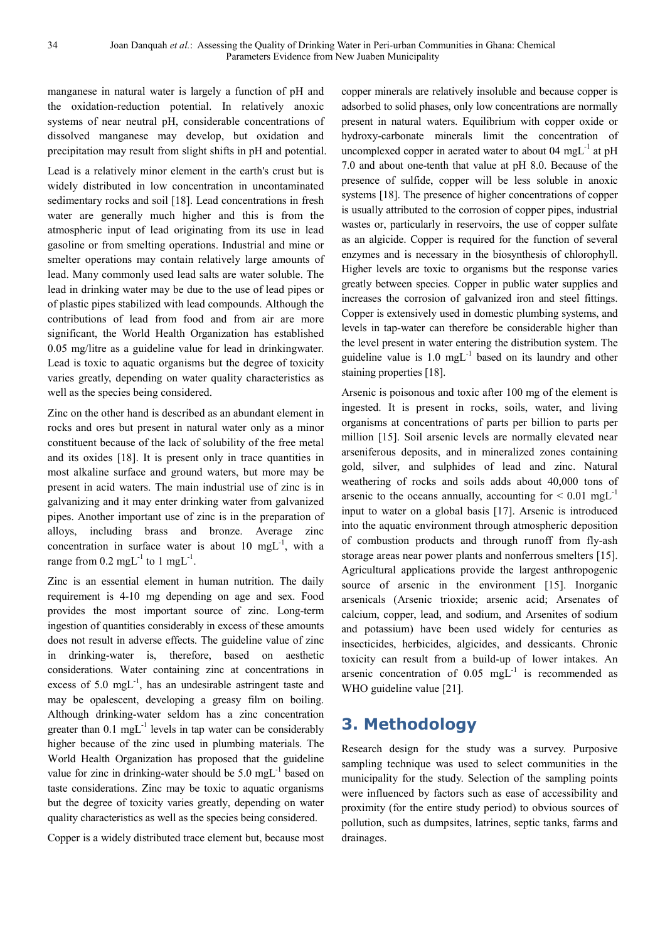manganese in natural water is largely a function of pH and the oxidation-reduction potential. In relatively anoxic systems of near neutral pH, considerable concentrations of dissolved manganese may develop, but oxidation and precipitation may result from slight shifts in pH and potential.

Lead is a relatively minor element in the earth's crust but is widely distributed in low concentration in uncontaminated sedimentary rocks and soil [18]. Lead concentrations in fresh water are generally much higher and this is from the atmospheric input of lead originating from its use in lead gasoline or from smelting operations. Industrial and mine or smelter operations may contain relatively large amounts of lead. Many commonly used lead salts are water soluble. The lead in drinking water may be due to the use of lead pipes or of plastic pipes stabilized with lead compounds. Although the contributions of lead from food and from air are more significant, the World Health Organization has established 0.05 mg/litre as a guideline value for lead in drinkingwater. Lead is toxic to aquatic organisms but the degree of toxicity varies greatly, depending on water quality characteristics as well as the species being considered.

Zinc on the other hand is described as an abundant element in rocks and ores but present in natural water only as a minor constituent because of the lack of solubility of the free metal and its oxides [18]. It is present only in trace quantities in most alkaline surface and ground waters, but more may be present in acid waters. The main industrial use of zinc is in galvanizing and it may enter drinking water from galvanized pipes. Another important use of zinc is in the preparation of alloys, including brass and bronze. Average zinc concentration in surface water is about 10 mgL $^{-1}$ , with a range from  $0.2 \text{ mgL}^{-1}$  to 1 mgL<sup>-1</sup>.

Zinc is an essential element in human nutrition. The daily requirement is 4-10 mg depending on age and sex. Food provides the most important source of zinc. Long-term ingestion of quantities considerably in excess of these amounts does not result in adverse effects. The guideline value of zinc in drinking-water is, therefore, based on aesthetic considerations. Water containing zinc at concentrations in excess of 5.0 mg $L^{-1}$ , has an undesirable astringent taste and may be opalescent, developing a greasy film on boiling. Although drinking-water seldom has a zinc concentration greater than  $0.1 \text{ mgL}^{-1}$  levels in tap water can be considerably higher because of the zinc used in plumbing materials. The World Health Organization has proposed that the guideline value for zinc in drinking-water should be  $5.0 \text{ mgL}^{-1}$  based on taste considerations. Zinc may be toxic to aquatic organisms but the degree of toxicity varies greatly, depending on water quality characteristics as well as the species being considered.

Copper is a widely distributed trace element but, because most

copper minerals are relatively insoluble and because copper is adsorbed to solid phases, only low concentrations are normally present in natural waters. Equilibrium with copper oxide or hydroxy-carbonate minerals limit the concentration of uncomplexed copper in aerated water to about  $04 \text{ mgL}^{-1}$  at pH 7.0 and about one-tenth that value at pH 8.0. Because of the presence of sulfide, copper will be less soluble in anoxic systems [18]. The presence of higher concentrations of copper is usually attributed to the corrosion of copper pipes, industrial wastes or, particularly in reservoirs, the use of copper sulfate as an algicide. Copper is required for the function of several enzymes and is necessary in the biosynthesis of chlorophyll. Higher levels are toxic to organisms but the response varies greatly between species. Copper in public water supplies and increases the corrosion of galvanized iron and steel fittings. Copper is extensively used in domestic plumbing systems, and levels in tap-water can therefore be considerable higher than the level present in water entering the distribution system. The guideline value is  $1.0 \text{ mgL}^{-1}$  based on its laundry and other staining properties [18].

Arsenic is poisonous and toxic after 100 mg of the element is ingested. It is present in rocks, soils, water, and living organisms at concentrations of parts per billion to parts per million [15]. Soil arsenic levels are normally elevated near arseniferous deposits, and in mineralized zones containing gold, silver, and sulphides of lead and zinc. Natural weathering of rocks and soils adds about 40,000 tons of arsenic to the oceans annually, accounting for  $\leq 0.01$  mgL<sup>-1</sup> input to water on a global basis [17]. Arsenic is introduced into the aquatic environment through atmospheric deposition of combustion products and through runoff from fly-ash storage areas near power plants and nonferrous smelters [15]. Agricultural applications provide the largest anthropogenic source of arsenic in the environment [15]. Inorganic arsenicals (Arsenic trioxide; arsenic acid; Arsenates of calcium, copper, lead, and sodium, and Arsenites of sodium and potassium) have been used widely for centuries as insecticides, herbicides, algicides, and dessicants. Chronic toxicity can result from a build-up of lower intakes. An arsenic concentration of  $0.05$  mgL<sup>-1</sup> is recommended as WHO guideline value [21].

## **3. Methodology**

Research design for the study was a survey. Purposive sampling technique was used to select communities in the municipality for the study. Selection of the sampling points were influenced by factors such as ease of accessibility and proximity (for the entire study period) to obvious sources of pollution, such as dumpsites, latrines, septic tanks, farms and drainages.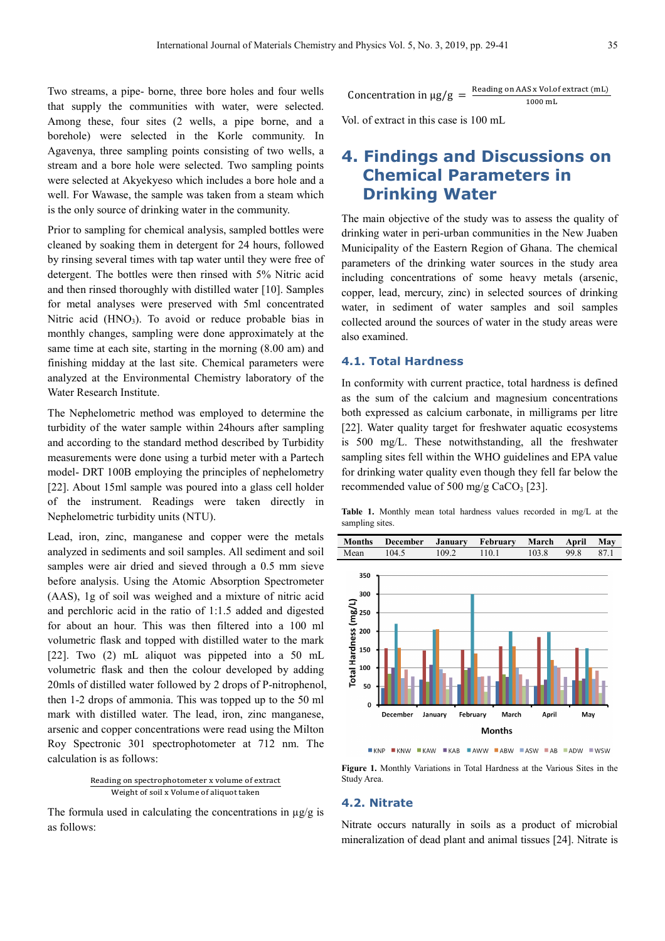Two streams, a pipe- borne, three bore holes and four wells that supply the communities with water, were selected. Among these, four sites (2 wells, a pipe borne, and a borehole) were selected in the Korle community. In Agavenya, three sampling points consisting of two wells, a stream and a bore hole were selected. Two sampling points were selected at Akyekyeso which includes a bore hole and a well. For Wawase, the sample was taken from a steam which is the only source of drinking water in the community.

Prior to sampling for chemical analysis, sampled bottles were cleaned by soaking them in detergent for 24 hours, followed by rinsing several times with tap water until they were free of detergent. The bottles were then rinsed with 5% Nitric acid and then rinsed thoroughly with distilled water [10]. Samples for metal analyses were preserved with 5ml concentrated Nitric acid  $(HNO<sub>3</sub>)$ . To avoid or reduce probable bias in monthly changes, sampling were done approximately at the same time at each site, starting in the morning (8.00 am) and finishing midday at the last site. Chemical parameters were analyzed at the Environmental Chemistry laboratory of the Water Research Institute.

The Nephelometric method was employed to determine the turbidity of the water sample within 24hours after sampling and according to the standard method described by Turbidity measurements were done using a turbid meter with a Partech model- DRT 100B employing the principles of nephelometry [22]. About 15ml sample was poured into a glass cell holder of the instrument. Readings were taken directly in Nephelometric turbidity units (NTU).

Lead, iron, zinc, manganese and copper were the metals analyzed in sediments and soil samples. All sediment and soil samples were air dried and sieved through a 0.5 mm sieve before analysis. Using the Atomic Absorption Spectrometer (AAS), 1g of soil was weighed and a mixture of nitric acid and perchloric acid in the ratio of 1:1.5 added and digested for about an hour. This was then filtered into a 100 ml volumetric flask and topped with distilled water to the mark [22]. Two (2) mL aliquot was pippeted into a 50 mL volumetric flask and then the colour developed by adding 20mls of distilled water followed by 2 drops of P-nitrophenol, then 1-2 drops of ammonia. This was topped up to the 50 ml mark with distilled water. The lead, iron, zinc manganese, arsenic and copper concentrations were read using the Milton Roy Spectronic 301 spectrophotometer at 712 nm. The calculation is as follows:

Reading on spectrophotometer x volume of extract<br>Weight of sail u Volume of elignations Weight of soil x Volume of aliquot taken

The formula used in calculating the concentrations in  $\mu$ g/g is as follows:

$$
Concentration in \mu g/g = \frac{Reading on AAS x Vol. of extract (mL)}{1000 mL}
$$

Vol. of extract in this case is 100 mL

### **4. Findings and Discussions on Chemical Parameters in Drinking Water**

The main objective of the study was to assess the quality of drinking water in peri-urban communities in the New Juaben Municipality of the Eastern Region of Ghana. The chemical parameters of the drinking water sources in the study area including concentrations of some heavy metals (arsenic, copper, lead, mercury, zinc) in selected sources of drinking water, in sediment of water samples and soil samples collected around the sources of water in the study areas were also examined.

#### **4.1. Total Hardness**

In conformity with current practice, total hardness is defined as the sum of the calcium and magnesium concentrations both expressed as calcium carbonate, in milligrams per litre [22]. Water quality target for freshwater aquatic ecosystems is 500 mg/L. These notwithstanding, all the freshwater sampling sites fell within the WHO guidelines and EPA value for drinking water quality even though they fell far below the recommended value of 500 mg/g CaCO<sub>3</sub> [23].

**Table 1.** Monthly mean total hardness values recorded in mg/L at the sampling sites.



**EXNP EXNW EXAW EXAB EAWW FABW FASW FAB FADW EWSW** 

**Figure 1.** Monthly Variations in Total Hardness at the Various Sites in the Study Area.

#### **4.2. Nitrate**

Nitrate occurs naturally in soils as a product of microbial mineralization of dead plant and animal tissues [24]. Nitrate is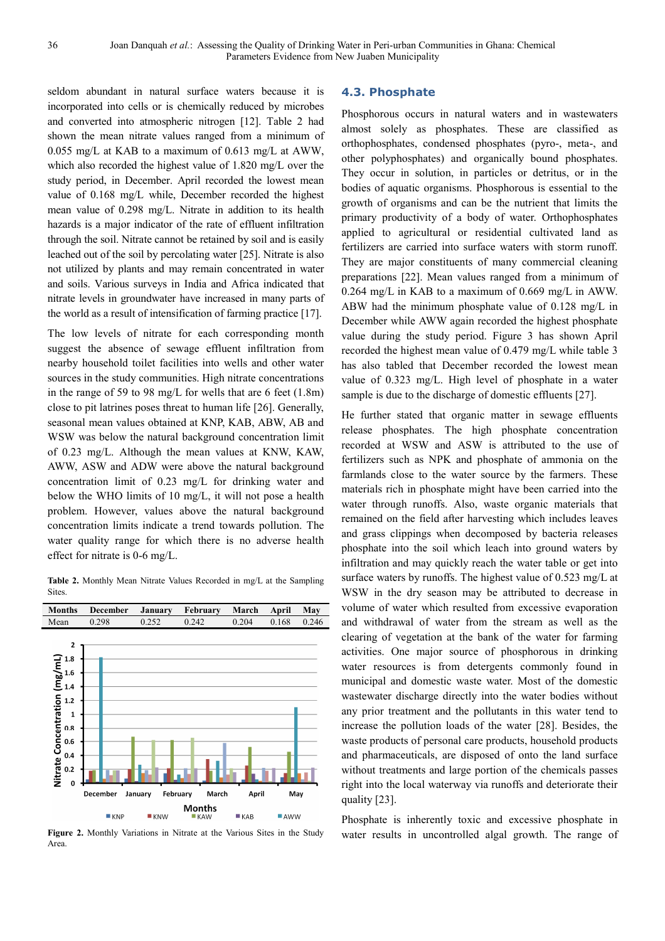seldom abundant in natural surface waters because it is incorporated into cells or is chemically reduced by microbes and converted into atmospheric nitrogen [12]. Table 2 had shown the mean nitrate values ranged from a minimum of 0.055 mg/L at KAB to a maximum of 0.613 mg/L at AWW, which also recorded the highest value of 1.820 mg/L over the study period, in December. April recorded the lowest mean value of 0.168 mg/L while, December recorded the highest mean value of 0.298 mg/L. Nitrate in addition to its health hazards is a major indicator of the rate of effluent infiltration through the soil. Nitrate cannot be retained by soil and is easily leached out of the soil by percolating water [25]. Nitrate is also not utilized by plants and may remain concentrated in water and soils. Various surveys in India and Africa indicated that nitrate levels in groundwater have increased in many parts of the world as a result of intensification of farming practice [17].

The low levels of nitrate for each corresponding month suggest the absence of sewage effluent infiltration from nearby household toilet facilities into wells and other water sources in the study communities. High nitrate concentrations in the range of 59 to 98 mg/L for wells that are 6 feet (1.8m) close to pit latrines poses threat to human life [26]. Generally, seasonal mean values obtained at KNP, KAB, ABW, AB and WSW was below the natural background concentration limit of 0.23 mg/L. Although the mean values at KNW, KAW, AWW, ASW and ADW were above the natural background concentration limit of 0.23 mg/L for drinking water and below the WHO limits of 10 mg/L, it will not pose a health problem. However, values above the natural background concentration limits indicate a trend towards pollution. The water quality range for which there is no adverse health effect for nitrate is 0-6 mg/L.

**Table 2.** Monthly Mean Nitrate Values Recorded in mg/L at the Sampling Sites.



**Figure 2.** Monthly Variations in Nitrate at the Various Sites in the Study Area.

#### **4.3. Phosphate**

Phosphorous occurs in natural waters and in wastewaters almost solely as phosphates. These are classified as orthophosphates, condensed phosphates (pyro-, meta-, and other polyphosphates) and organically bound phosphates. They occur in solution, in particles or detritus, or in the bodies of aquatic organisms. Phosphorous is essential to the growth of organisms and can be the nutrient that limits the primary productivity of a body of water. Orthophosphates applied to agricultural or residential cultivated land as fertilizers are carried into surface waters with storm runoff. They are major constituents of many commercial cleaning preparations [22]. Mean values ranged from a minimum of 0.264 mg/L in KAB to a maximum of 0.669 mg/L in AWW. ABW had the minimum phosphate value of 0.128 mg/L in December while AWW again recorded the highest phosphate value during the study period. Figure 3 has shown April recorded the highest mean value of 0.479 mg/L while table 3 has also tabled that December recorded the lowest mean value of 0.323 mg/L. High level of phosphate in a water sample is due to the discharge of domestic effluents [27].

He further stated that organic matter in sewage effluents release phosphates. The high phosphate concentration recorded at WSW and ASW is attributed to the use of fertilizers such as NPK and phosphate of ammonia on the farmlands close to the water source by the farmers. These materials rich in phosphate might have been carried into the water through runoffs. Also, waste organic materials that remained on the field after harvesting which includes leaves and grass clippings when decomposed by bacteria releases phosphate into the soil which leach into ground waters by infiltration and may quickly reach the water table or get into surface waters by runoffs. The highest value of 0.523 mg/L at WSW in the dry season may be attributed to decrease in volume of water which resulted from excessive evaporation and withdrawal of water from the stream as well as the clearing of vegetation at the bank of the water for farming activities. One major source of phosphorous in drinking water resources is from detergents commonly found in municipal and domestic waste water. Most of the domestic wastewater discharge directly into the water bodies without any prior treatment and the pollutants in this water tend to increase the pollution loads of the water [28]. Besides, the waste products of personal care products, household products and pharmaceuticals, are disposed of onto the land surface without treatments and large portion of the chemicals passes right into the local waterway via runoffs and deteriorate their quality [23].

Phosphate is inherently toxic and excessive phosphate in water results in uncontrolled algal growth. The range of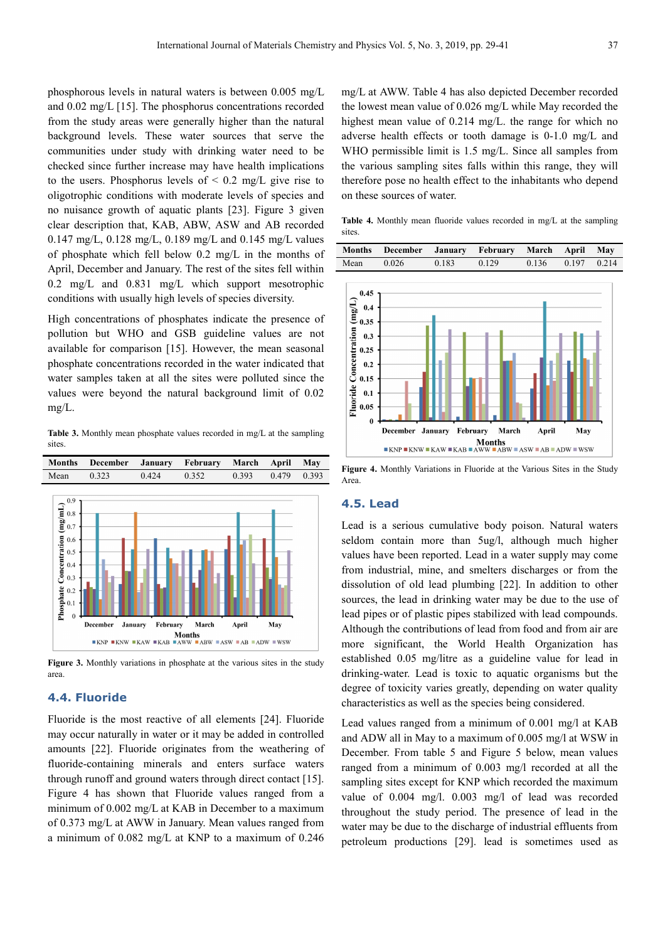phosphorous levels in natural waters is between 0.005 mg/L and 0.02 mg/L [15]. The phosphorus concentrations recorded from the study areas were generally higher than the natural background levels. These water sources that serve the communities under study with drinking water need to be checked since further increase may have health implications to the users. Phosphorus levels of  $\leq 0.2$  mg/L give rise to oligotrophic conditions with moderate levels of species and no nuisance growth of aquatic plants [23]. Figure 3 given clear description that, KAB, ABW, ASW and AB recorded 0.147 mg/L, 0.128 mg/L, 0.189 mg/L and 0.145 mg/L values of phosphate which fell below 0.2 mg/L in the months of April, December and January. The rest of the sites fell within 0.2 mg/L and 0.831 mg/L which support mesotrophic conditions with usually high levels of species diversity.

High concentrations of phosphates indicate the presence of pollution but WHO and GSB guideline values are not available for comparison [15]. However, the mean seasonal phosphate concentrations recorded in the water indicated that water samples taken at all the sites were polluted since the values were beyond the natural background limit of 0.02 mg/L.

**Table 3.** Monthly mean phosphate values recorded in mg/L at the sampling sites.



**Figure 3.** Monthly variations in phosphate at the various sites in the study area.

#### **4.4. Fluoride**

Fluoride is the most reactive of all elements [24]. Fluoride may occur naturally in water or it may be added in controlled amounts [22]. Fluoride originates from the weathering of fluoride-containing minerals and enters surface waters through runoff and ground waters through direct contact [15]. Figure 4 has shown that Fluoride values ranged from a minimum of 0.002 mg/L at KAB in December to a maximum of 0.373 mg/L at AWW in January. Mean values ranged from a minimum of 0.082 mg/L at KNP to a maximum of 0.246 mg/L at AWW. Table 4 has also depicted December recorded the lowest mean value of 0.026 mg/L while May recorded the highest mean value of 0.214 mg/L. the range for which no adverse health effects or tooth damage is 0-1.0 mg/L and WHO permissible limit is 1.5 mg/L. Since all samples from the various sampling sites falls within this range, they will therefore pose no health effect to the inhabitants who depend on these sources of water.

**Table 4.** Monthly mean fluoride values recorded in mg/L at the sampling sites.

|      | Months December January February March April May |       |       |       |             |  |
|------|--------------------------------------------------|-------|-------|-------|-------------|--|
| Mean | 0.026                                            | 0.183 | 0.129 | 0.136 | 0.197 0.214 |  |



**Figure 4.** Monthly Variations in Fluoride at the Various Sites in the Study Area.

#### **4.5. Lead**

Lead is a serious cumulative body poison. Natural waters seldom contain more than 5ug/l, although much higher values have been reported. Lead in a water supply may come from industrial, mine, and smelters discharges or from the dissolution of old lead plumbing [22]. In addition to other sources, the lead in drinking water may be due to the use of lead pipes or of plastic pipes stabilized with lead compounds. Although the contributions of lead from food and from air are more significant, the World Health Organization has established 0.05 mg/litre as a guideline value for lead in drinking-water. Lead is toxic to aquatic organisms but the degree of toxicity varies greatly, depending on water quality characteristics as well as the species being considered.

Lead values ranged from a minimum of 0.001 mg/l at KAB and ADW all in May to a maximum of 0.005 mg/l at WSW in December. From table 5 and Figure 5 below, mean values ranged from a minimum of 0.003 mg/l recorded at all the sampling sites except for KNP which recorded the maximum value of 0.004 mg/l. 0.003 mg/l of lead was recorded throughout the study period. The presence of lead in the water may be due to the discharge of industrial effluents from petroleum productions [29]. lead is sometimes used as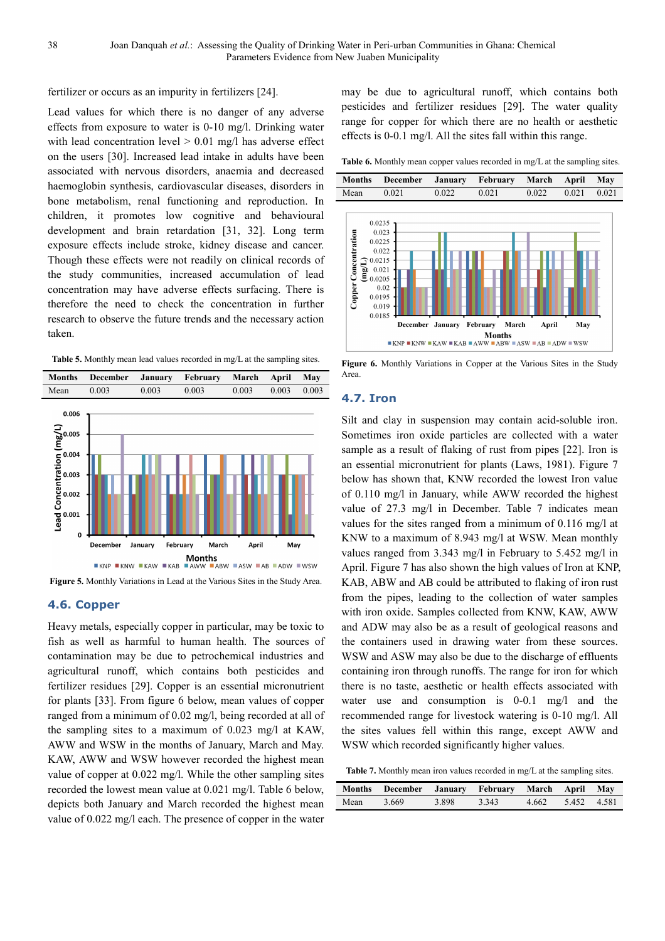fertilizer or occurs as an impurity in fertilizers [24].

Lead values for which there is no danger of any adverse effects from exposure to water is 0-10 mg/l. Drinking water with lead concentration level  $> 0.01$  mg/l has adverse effect on the users [30]. Increased lead intake in adults have been associated with nervous disorders, anaemia and decreased haemoglobin synthesis, cardiovascular diseases, disorders in bone metabolism, renal functioning and reproduction. In children, it promotes low cognitive and behavioural development and brain retardation [31, 32]. Long term exposure effects include stroke, kidney disease and cancer. Though these effects were not readily on clinical records of the study communities, increased accumulation of lead concentration may have adverse effects surfacing. There is therefore the need to check the concentration in further research to observe the future trends and the necessary action taken.

Table 5. Monthly mean lead values recorded in mg/L at the sampling sites.



**Figure 5.** Monthly Variations in Lead at the Various Sites in the Study Area.

#### **4.6. Copper**

Heavy metals, especially copper in particular, may be toxic to fish as well as harmful to human health. The sources of contamination may be due to petrochemical industries and agricultural runoff, which contains both pesticides and fertilizer residues [29]. Copper is an essential micronutrient for plants [33]. From figure 6 below, mean values of copper ranged from a minimum of 0.02 mg/l, being recorded at all of the sampling sites to a maximum of 0.023 mg/l at KAW, AWW and WSW in the months of January, March and May. KAW, AWW and WSW however recorded the highest mean value of copper at 0.022 mg/l. While the other sampling sites recorded the lowest mean value at 0.021 mg/l. Table 6 below, depicts both January and March recorded the highest mean value of 0.022 mg/l each. The presence of copper in the water

may be due to agricultural runoff, which contains both pesticides and fertilizer residues [29]. The water quality range for copper for which there are no health or aesthetic effects is 0-0.1 mg/l. All the sites fall within this range.

**Table 6.** Monthly mean copper values recorded in mg/L at the sampling sites.



Figure 6. Monthly Variations in Copper at the Various Sites in the Study Area.

#### **4.7. Iron**

Silt and clay in suspension may contain acid-soluble iron. Sometimes iron oxide particles are collected with a water sample as a result of flaking of rust from pipes [22]. Iron is an essential micronutrient for plants (Laws, 1981). Figure 7 below has shown that, KNW recorded the lowest Iron value of 0.110 mg/l in January, while AWW recorded the highest value of 27.3 mg/l in December. Table 7 indicates mean values for the sites ranged from a minimum of 0.116 mg/l at KNW to a maximum of 8.943 mg/l at WSW. Mean monthly values ranged from 3.343 mg/l in February to 5.452 mg/l in April. Figure 7 has also shown the high values of Iron at KNP, KAB, ABW and AB could be attributed to flaking of iron rust from the pipes, leading to the collection of water samples with iron oxide. Samples collected from KNW, KAW, AWW and ADW may also be as a result of geological reasons and the containers used in drawing water from these sources. WSW and ASW may also be due to the discharge of effluents containing iron through runoffs. The range for iron for which there is no taste, aesthetic or health effects associated with water use and consumption is 0-0.1 mg/l and the recommended range for livestock watering is 0-10 mg/l. All the sites values fell within this range, except AWW and WSW which recorded significantly higher values.

**Table 7.** Monthly mean iron values recorded in mg/L at the sampling sites.

|      | Months December January February March April May |       |       |                   |  |
|------|--------------------------------------------------|-------|-------|-------------------|--|
| Mean | 3.669                                            | 3.898 | 3.343 | 4.662 5.452 4.581 |  |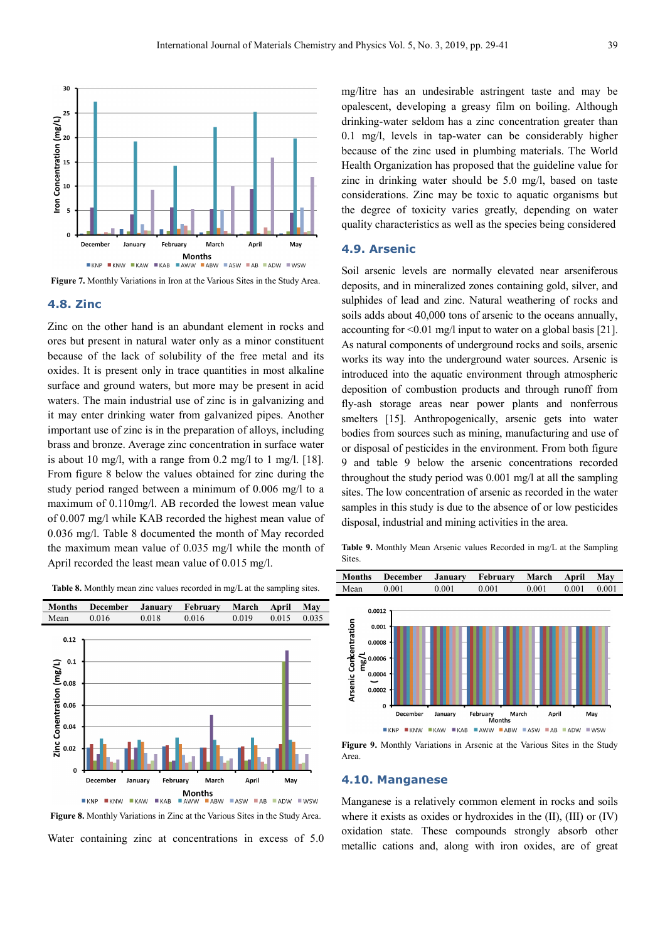

**Figure 7.** Monthly Variations in Iron at the Various Sites in the Study Area.

#### **4.8. Zinc**

Zinc on the other hand is an abundant element in rocks and ores but present in natural water only as a minor constituent because of the lack of solubility of the free metal and its oxides. It is present only in trace quantities in most alkaline surface and ground waters, but more may be present in acid waters. The main industrial use of zinc is in galvanizing and it may enter drinking water from galvanized pipes. Another important use of zinc is in the preparation of alloys, including brass and bronze. Average zinc concentration in surface water is about 10 mg/l, with a range from  $0.2$  mg/l to 1 mg/l. [18]. From figure 8 below the values obtained for zinc during the study period ranged between a minimum of 0.006 mg/l to a maximum of 0.110mg/l. AB recorded the lowest mean value of 0.007 mg/l while KAB recorded the highest mean value of 0.036 mg/l. Table 8 documented the month of May recorded the maximum mean value of 0.035 mg/l while the month of April recorded the least mean value of 0.015 mg/l.

**Table 8.** Monthly mean zinc values recorded in mg/L at the sampling sites.



**Figure 8.** Monthly Variations in Zinc at the Various Sites in the Study Area. Water containing zinc at concentrations in excess of 5.0

mg/litre has an undesirable astringent taste and may be opalescent, developing a greasy film on boiling. Although drinking-water seldom has a zinc concentration greater than 0.1 mg/l, levels in tap-water can be considerably higher because of the zinc used in plumbing materials. The World Health Organization has proposed that the guideline value for zinc in drinking water should be 5.0 mg/l, based on taste considerations. Zinc may be toxic to aquatic organisms but the degree of toxicity varies greatly, depending on water quality characteristics as well as the species being considered

#### **4.9. Arsenic**

Soil arsenic levels are normally elevated near arseniferous deposits, and in mineralized zones containing gold, silver, and sulphides of lead and zinc. Natural weathering of rocks and soils adds about 40,000 tons of arsenic to the oceans annually, accounting for <0.01 mg/l input to water on a global basis [21]. As natural components of underground rocks and soils, arsenic works its way into the underground water sources. Arsenic is introduced into the aquatic environment through atmospheric deposition of combustion products and through runoff from fly-ash storage areas near power plants and nonferrous smelters [15]. Anthropogenically, arsenic gets into water bodies from sources such as mining, manufacturing and use of or disposal of pesticides in the environment. From both figure 9 and table 9 below the arsenic concentrations recorded throughout the study period was 0.001 mg/l at all the sampling sites. The low concentration of arsenic as recorded in the water samples in this study is due to the absence of or low pesticides disposal, industrial and mining activities in the area.

**Table 9.** Monthly Mean Arsenic values Recorded in mg/L at the Sampling Sites.



**Figure 9.** Monthly Variations in Arsenic at the Various Sites in the Study Area.

#### **4.10. Manganese**

Manganese is a relatively common element in rocks and soils where it exists as oxides or hydroxides in the (II), (III) or (IV) oxidation state. These compounds strongly absorb other metallic cations and, along with iron oxides, are of great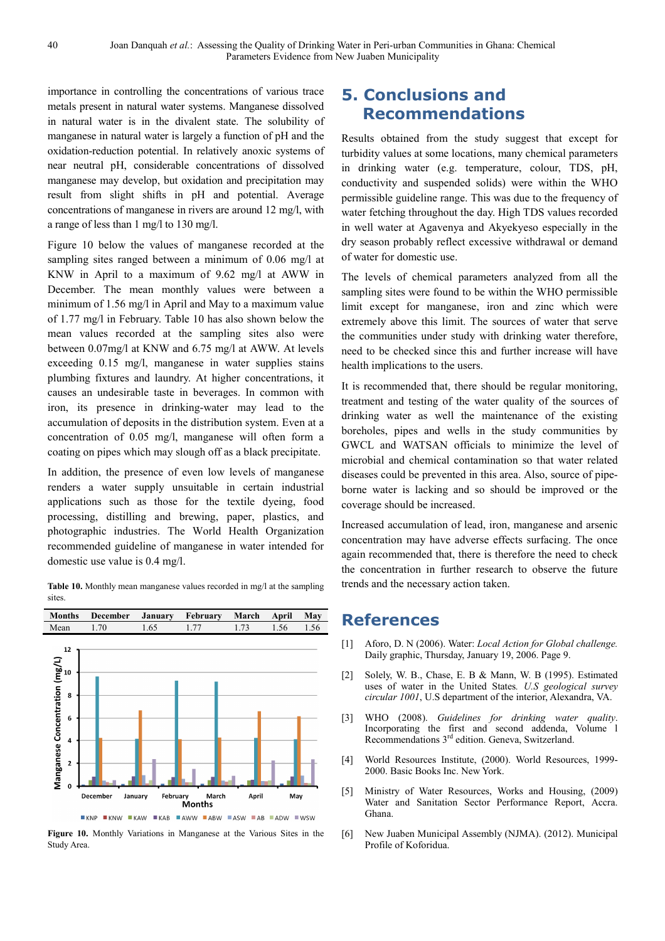importance in controlling the concentrations of various trace metals present in natural water systems. Manganese dissolved in natural water is in the divalent state. The solubility of manganese in natural water is largely a function of pH and the oxidation-reduction potential. In relatively anoxic systems of near neutral pH, considerable concentrations of dissolved manganese may develop, but oxidation and precipitation may result from slight shifts in pH and potential. Average concentrations of manganese in rivers are around 12 mg/l, with a range of less than 1 mg/l to 130 mg/l.

Figure 10 below the values of manganese recorded at the sampling sites ranged between a minimum of 0.06 mg/l at KNW in April to a maximum of 9.62 mg/l at AWW in December. The mean monthly values were between a minimum of 1.56 mg/l in April and May to a maximum value of 1.77 mg/l in February. Table 10 has also shown below the mean values recorded at the sampling sites also were between 0.07mg/l at KNW and 6.75 mg/l at AWW. At levels exceeding 0.15 mg/l, manganese in water supplies stains plumbing fixtures and laundry. At higher concentrations, it causes an undesirable taste in beverages. In common with iron, its presence in drinking-water may lead to the accumulation of deposits in the distribution system. Even at a concentration of 0.05 mg/l, manganese will often form a coating on pipes which may slough off as a black precipitate.

In addition, the presence of even low levels of manganese renders a water supply unsuitable in certain industrial applications such as those for the textile dyeing, food processing, distilling and brewing, paper, plastics, and photographic industries. The World Health Organization recommended guideline of manganese in water intended for domestic use value is 0.4 mg/l.

Table 10. Monthly mean manganese values recorded in mg/l at the sampling sites.



**Figure 10.** Monthly Variations in Manganese at the Various Sites in the Study Area.

## **5. Conclusions and Recommendations**

Results obtained from the study suggest that except for turbidity values at some locations, many chemical parameters in drinking water (e.g. temperature, colour, TDS, pH, conductivity and suspended solids) were within the WHO permissible guideline range. This was due to the frequency of water fetching throughout the day. High TDS values recorded in well water at Agavenya and Akyekyeso especially in the dry season probably reflect excessive withdrawal or demand of water for domestic use.

The levels of chemical parameters analyzed from all the sampling sites were found to be within the WHO permissible limit except for manganese, iron and zinc which were extremely above this limit. The sources of water that serve the communities under study with drinking water therefore, need to be checked since this and further increase will have health implications to the users.

It is recommended that, there should be regular monitoring, treatment and testing of the water quality of the sources of drinking water as well the maintenance of the existing boreholes, pipes and wells in the study communities by GWCL and WATSAN officials to minimize the level of microbial and chemical contamination so that water related diseases could be prevented in this area. Also, source of pipeborne water is lacking and so should be improved or the coverage should be increased.

Increased accumulation of lead, iron, manganese and arsenic concentration may have adverse effects surfacing. The once again recommended that, there is therefore the need to check the concentration in further research to observe the future trends and the necessary action taken.

### **References**

- [1] Aforo, D. N (2006). Water: *Local Action for Global challenge.* Daily graphic, Thursday, January 19, 2006. Page 9.
- [2] Solely, W. B., Chase, E. B & Mann, W. B (1995). Estimated uses of water in the United States*. U.S geological survey circular 1001*, U.S department of the interior, Alexandra, VA.
- [3] WHO (2008). *Guidelines for drinking water quality*. Incorporating the first and second addenda, Volume l Recommendations  $3<sup>rd</sup>$  edition. Geneva, Switzerland.
- [4] World Resources Institute, (2000). World Resources, 1999-2000. Basic Books Inc. New York.
- [5] Ministry of Water Resources, Works and Housing, (2009) Water and Sanitation Sector Performance Report, Accra. Ghana.
- [6] New Juaben Municipal Assembly (NJMA). (2012). Municipal Profile of Koforidua.